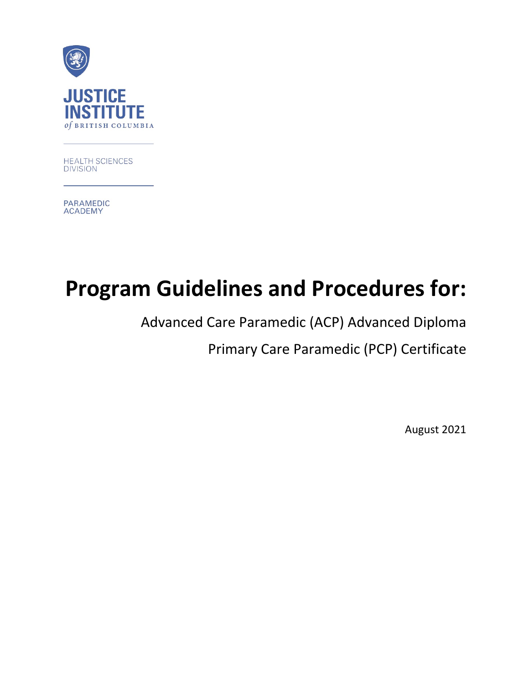

HEALTH SCIENCES **DIVISION** 

**PARAMEDIC ACADEMY** 

# **Program Guidelines and Procedures for:**

Advanced Care Paramedic (ACP) Advanced Diploma

Primary Care Paramedic (PCP) Certificate

August 2021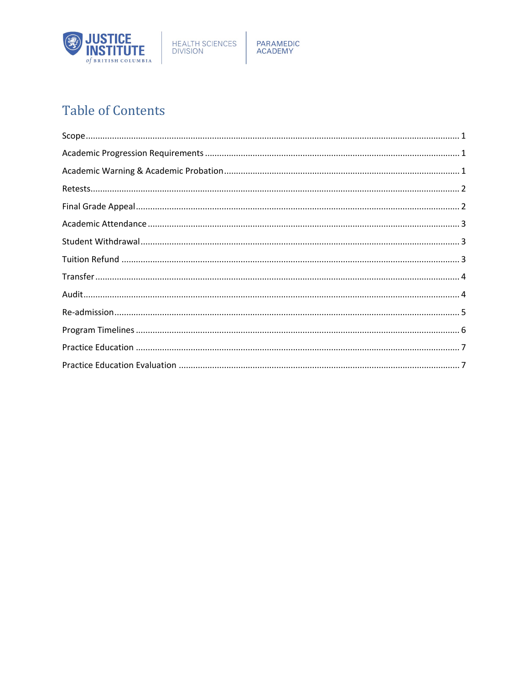

PARAMEDIC<br>ACADEMY

# **Table of Contents**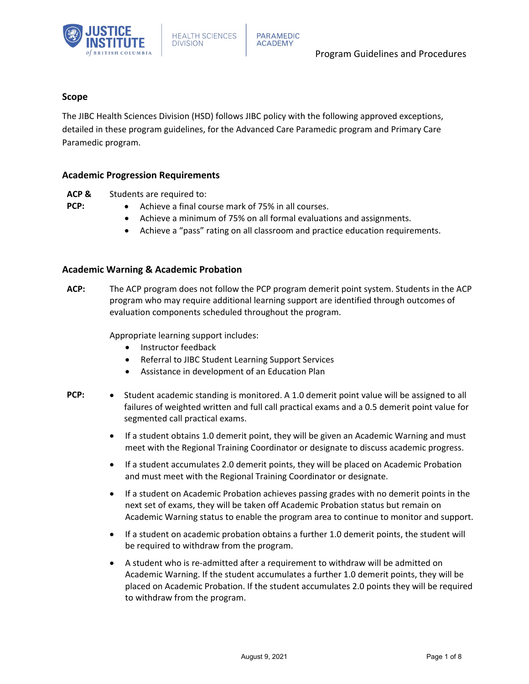

## <span id="page-2-0"></span>**Scope**

The JIBC Health Sciences Division (HSD) follows JIBC policy with the following approved exceptions, detailed in these program guidelines, for the Advanced Care Paramedic program and Primary Care Paramedic program.

#### <span id="page-2-1"></span>**Academic Progression Requirements**

- **ACP &**  Students are required to:
- **PCP:**
- Achieve a final course mark of 75% in all courses.
- Achieve a minimum of 75% on all formal evaluations and assignments.
- Achieve a "pass" rating on all classroom and practice education requirements.

#### <span id="page-2-2"></span>**Academic Warning & Academic Probation**

**ACP:** The ACP program does not follow the PCP program demerit point system. Students in the ACP program who may require additional learning support are identified through outcomes of evaluation components scheduled throughout the program.

Appropriate learning support includes:

- Instructor feedback
- Referral to JIBC Student Learning Support Services
- Assistance in development of an Education Plan
- **PCP:** Student academic standing is monitored. A 1.0 demerit point value will be assigned to all failures of weighted written and full call practical exams and a 0.5 demerit point value for segmented call practical exams.
	- If a student obtains 1.0 demerit point, they will be given an Academic Warning and must meet with the Regional Training Coordinator or designate to discuss academic progress.
	- If a student accumulates 2.0 demerit points, they will be placed on Academic Probation and must meet with the Regional Training Coordinator or designate.
	- If a student on Academic Probation achieves passing grades with no demerit points in the next set of exams, they will be taken off Academic Probation status but remain on Academic Warning status to enable the program area to continue to monitor and support.
	- If a student on academic probation obtains a further 1.0 demerit points, the student will be required to withdraw from the program.
	- A student who is re-admitted after a requirement to withdraw will be admitted on Academic Warning. If the student accumulates a further 1.0 demerit points, they will be placed on Academic Probation. If the student accumulates 2.0 points they will be required to withdraw from the program.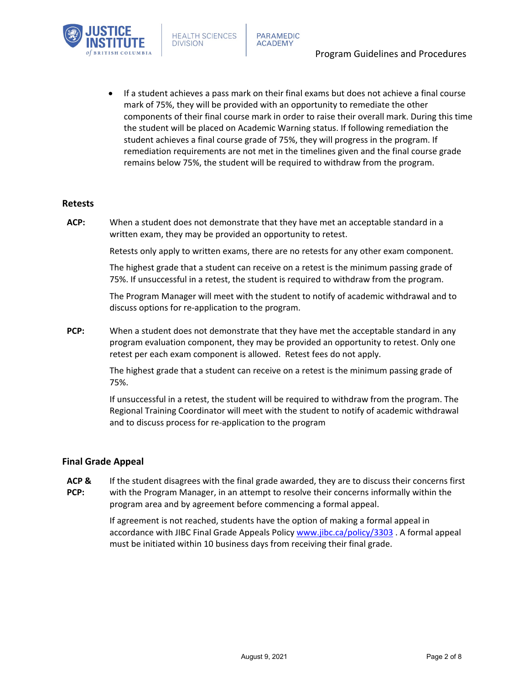

• If a student achieves a pass mark on their final exams but does not achieve a final course mark of 75%, they will be provided with an opportunity to remediate the other components of their final course mark in order to raise their overall mark. During this time the student will be placed on Academic Warning status. If following remediation the student achieves a final course grade of 75%, they will progress in the program. If remediation requirements are not met in the timelines given and the final course grade remains below 75%, the student will be required to withdraw from the program.

#### <span id="page-3-0"></span>**Retests**

**ACP:** When a student does not demonstrate that they have met an acceptable standard in a written exam, they may be provided an opportunity to retest.

Retests only apply to written exams, there are no retests for any other exam component.

The highest grade that a student can receive on a retest is the minimum passing grade of 75%. If unsuccessful in a retest, the student is required to withdraw from the program.

The Program Manager will meet with the student to notify of academic withdrawal and to discuss options for re-application to the program.

**PCP:** When a student does not demonstrate that they have met the acceptable standard in any program evaluation component, they may be provided an opportunity to retest. Only one retest per each exam component is allowed. Retest fees do not apply.

> The highest grade that a student can receive on a retest is the minimum passing grade of 75%.

If unsuccessful in a retest, the student will be required to withdraw from the program. The Regional Training Coordinator will meet with the student to notify of academic withdrawal and to discuss process for re-application to the program

## <span id="page-3-1"></span>**Final Grade Appeal**

**ACP & PCP:**  If the student disagrees with the final grade awarded, they are to discuss their concerns first with the Program Manager, in an attempt to resolve their concerns informally within the program area and by agreement before commencing a formal appeal.

> If agreement is not reached, students have the option of making a formal appeal in accordance with JIBC Final Grade Appeals Policy [www.jibc.ca/policy/3303](http://www.jibc.ca/policy/3303) . A formal appeal must be initiated within 10 business days from receiving their final grade.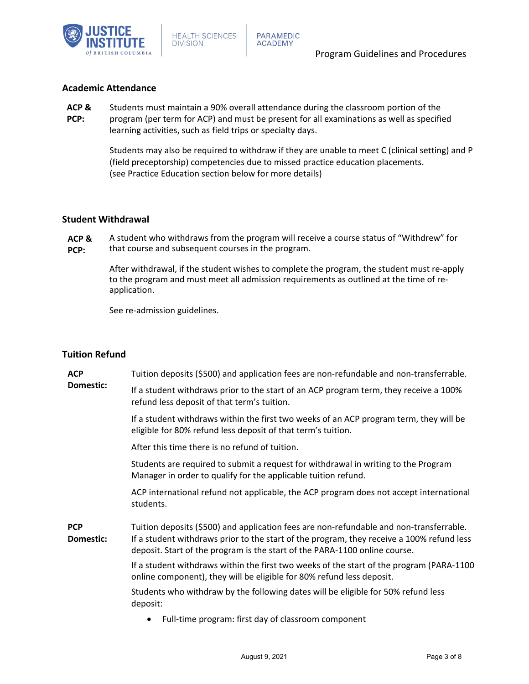

# <span id="page-4-0"></span>**Academic Attendance**

- **ACP &**  Students must maintain a 90% overall attendance during the classroom portion of the
- **PCP:** program (per term for ACP) and must be present for all examinations as well as specified learning activities, such as field trips or specialty days.

Students may also be required to withdraw if they are unable to meet C (clinical setting) and P (field preceptorship) competencies due to missed practice education placements. (see Practice Education section below for more details)

# <span id="page-4-1"></span>**Student Withdrawal**

**ACP & PCP:** A student who withdraws from the program will receive a course status of "Withdrew" for that course and subsequent courses in the program.

> After withdrawal, if the student wishes to complete the program, the student must re-apply to the program and must meet all admission requirements as outlined at the time of reapplication.

See re-admission guidelines.

# <span id="page-4-2"></span>**Tuition Refund**

| <b>ACP</b><br>Domestic: | Tuition deposits (\$500) and application fees are non-refundable and non-transferrable.                                                                                                                                                                            |
|-------------------------|--------------------------------------------------------------------------------------------------------------------------------------------------------------------------------------------------------------------------------------------------------------------|
|                         | If a student withdraws prior to the start of an ACP program term, they receive a 100%<br>refund less deposit of that term's tuition.                                                                                                                               |
|                         | If a student withdraws within the first two weeks of an ACP program term, they will be<br>eligible for 80% refund less deposit of that term's tuition.                                                                                                             |
|                         | After this time there is no refund of tuition.                                                                                                                                                                                                                     |
|                         | Students are required to submit a request for withdrawal in writing to the Program<br>Manager in order to qualify for the applicable tuition refund.                                                                                                               |
|                         | ACP international refund not applicable, the ACP program does not accept international<br>students.                                                                                                                                                                |
| <b>PCP</b><br>Domestic: | Tuition deposits (\$500) and application fees are non-refundable and non-transferrable.<br>If a student withdraws prior to the start of the program, they receive a 100% refund less<br>deposit. Start of the program is the start of the PARA-1100 online course. |
|                         | If a student withdraws within the first two weeks of the start of the program (PARA-1100<br>online component), they will be eligible for 80% refund less deposit.                                                                                                  |
|                         | Students who withdraw by the following dates will be eligible for 50% refund less<br>deposit:                                                                                                                                                                      |
|                         | Full-time program: first day of classroom component                                                                                                                                                                                                                |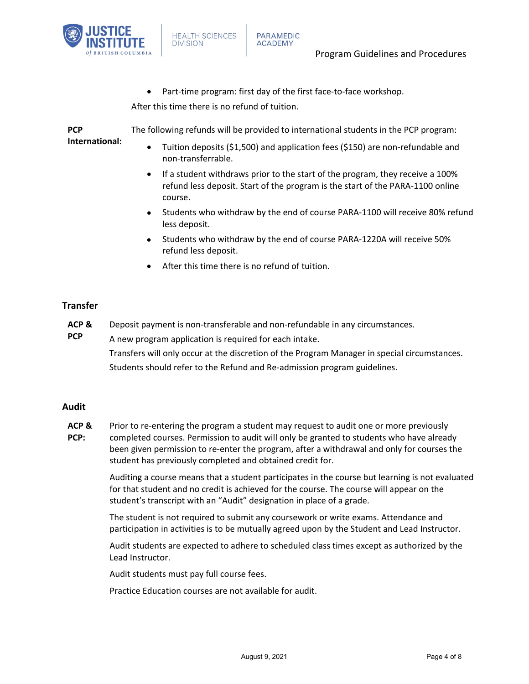

Part-time program: first day of the first face-to-face workshop.

After this time there is no refund of tuition.

**PCP International:** The following refunds will be provided to international students in the PCP program: • Tuition deposits (\$1,500) and application fees (\$150) are non-refundable and non-transferrable.

- If a student withdraws prior to the start of the program, they receive a 100% refund less deposit. Start of the program is the start of the PARA-1100 online course.
- Students who withdraw by the end of course PARA-1100 will receive 80% refund less deposit.
- Students who withdraw by the end of course PARA-1220A will receive 50% refund less deposit.
- After this time there is no refund of tuition.

# <span id="page-5-0"></span>**Transfer**

- **ACP &**  Deposit payment is non-transferable and non-refundable in any circumstances.
- **PCP** A new program application is required for each intake. Transfers will only occur at the discretion of the Program Manager in special circumstances. Students should refer to the Refund and Re-admission program guidelines.

# <span id="page-5-1"></span>**Audit**

**ACP & PCP:** Prior to re-entering the program a student may request to audit one or more previously completed courses. Permission to audit will only be granted to students who have already been given permission to re-enter the program, after a withdrawal and only for courses the student has previously completed and obtained credit for.

> Auditing a course means that a student participates in the course but learning is not evaluated for that student and no credit is achieved for the course. The course will appear on the student's transcript with an "Audit" designation in place of a grade.

The student is not required to submit any coursework or write exams. Attendance and participation in activities is to be mutually agreed upon by the Student and Lead Instructor.

Audit students are expected to adhere to scheduled class times except as authorized by the Lead Instructor.

Audit students must pay full course fees.

<span id="page-5-2"></span>Practice Education courses are not available for audit.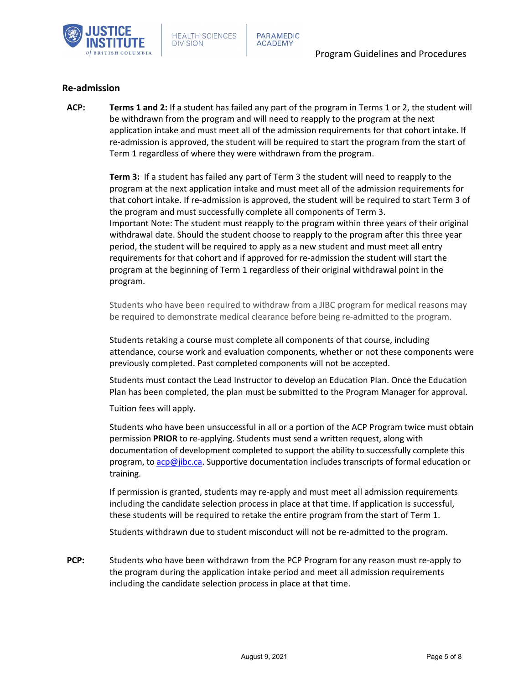

#### **Re-admission**

**ACP: Terms 1 and 2:** If a student has failed any part of the program in Terms 1 or 2, the student will be withdrawn from the program and will need to reapply to the program at the next application intake and must meet all of the admission requirements for that cohort intake. If re-admission is approved, the student will be required to start the program from the start of Term 1 regardless of where they were withdrawn from the program.

> **Term 3:** If a student has failed any part of Term 3 the student will need to reapply to the program at the next application intake and must meet all of the admission requirements for that cohort intake. If re-admission is approved, the student will be required to start Term 3 of the program and must successfully complete all components of Term 3. Important Note: The student must reapply to the program within three years of their original withdrawal date. Should the student choose to reapply to the program after this three year period, the student will be required to apply as a new student and must meet all entry requirements for that cohort and if approved for re-admission the student will start the program at the beginning of Term 1 regardless of their original withdrawal point in the program.

> Students who have been required to withdraw from a JIBC program for medical reasons may be required to demonstrate medical clearance before being re-admitted to the program.

Students retaking a course must complete all components of that course, including attendance, course work and evaluation components, whether or not these components were previously completed. Past completed components will not be accepted.

Students must contact the Lead Instructor to develop an Education Plan. Once the Education Plan has been completed, the plan must be submitted to the Program Manager for approval.

Tuition fees will apply.

Students who have been unsuccessful in all or a portion of the ACP Program twice must obtain permission **PRIOR** to re-applying. Students must send a written request, along with documentation of development completed to support the ability to successfully complete this program, t[o acp@jibc.ca.](mailto:acp@jibc.ca) Supportive documentation includes transcripts of formal education or training.

If permission is granted, students may re-apply and must meet all admission requirements including the candidate selection process in place at that time. If application is successful, these students will be required to retake the entire program from the start of Term 1.

Students withdrawn due to student misconduct will not be re-admitted to the program.

**PCP:** Students who have been withdrawn from the PCP Program for any reason must re-apply to the program during the application intake period and meet all admission requirements including the candidate selection process in place at that time.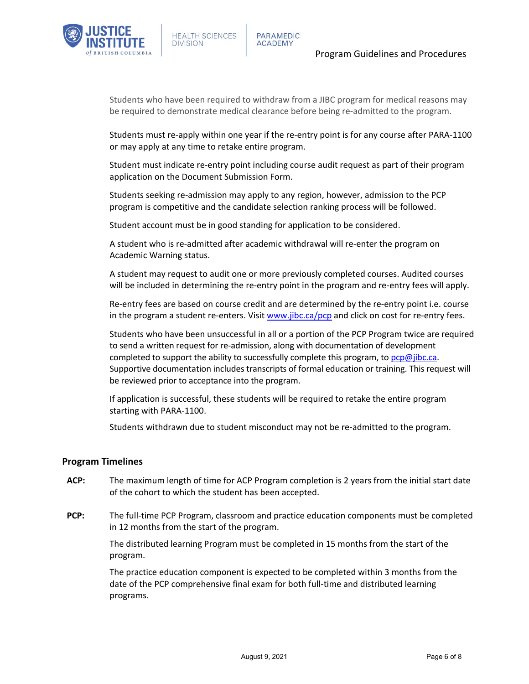

Students who have been required to withdraw from a JIBC program for medical reasons may be required to demonstrate medical clearance before being re-admitted to the program.

Students must re-apply within one year if the re-entry point is for any course after PARA-1100 or may apply at any time to retake entire program.

Student must indicate re-entry point including course audit request as part of their program application on the Document Submission Form.

Students seeking re-admission may apply to any region, however, admission to the PCP program is competitive and the candidate selection ranking process will be followed.

Student account must be in good standing for application to be considered.

A student who is re-admitted after academic withdrawal will re-enter the program on Academic Warning status.

A student may request to audit one or more previously completed courses. Audited courses will be included in determining the re-entry point in the program and re-entry fees will apply.

Re-entry fees are based on course credit and are determined by the re-entry point i.e. course in the program a student re-enters. Visit [www.jibc.ca/pcp](http://www.jibc.ca/pcp) and click on cost for re-entry fees.

Students who have been unsuccessful in all or a portion of the PCP Program twice are required to send a written request for re-admission, along with documentation of development completed to support the ability to successfully complete this program, to  $pcp@$  jibc.ca. Supportive documentation includes transcripts of formal education or training. This request will be reviewed prior to acceptance into the program.

If application is successful, these students will be required to retake the entire program starting with PARA-1100.

Students withdrawn due to student misconduct may not be re-admitted to the program.

#### <span id="page-7-0"></span>**Program Timelines**

- **ACP:** The maximum length of time for ACP Program completion is 2 years from the initial start date of the cohort to which the student has been accepted.
- **PCP:** The full-time PCP Program, classroom and practice education components must be completed in 12 months from the start of the program.

The distributed learning Program must be completed in 15 months from the start of the program.

The practice education component is expected to be completed within 3 months from the date of the PCP comprehensive final exam for both full-time and distributed learning programs.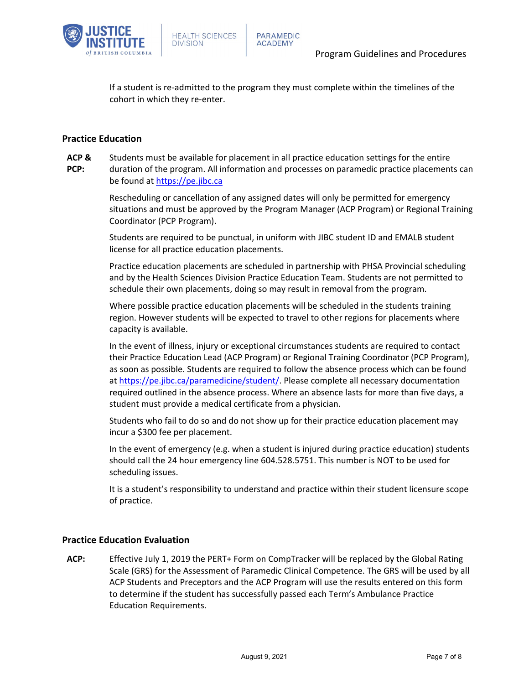

If a student is re-admitted to the program they must complete within the timelines of the cohort in which they re-enter.

# <span id="page-8-0"></span>**Practice Education**

**ACP & PCP:** Students must be available for placement in all practice education settings for the entire duration of the program. All information and processes on paramedic practice placements can be found at [https://pe.jibc.ca](https://pe.jibc.ca/)

> Rescheduling or cancellation of any assigned dates will only be permitted for emergency situations and must be approved by the Program Manager (ACP Program) or Regional Training Coordinator (PCP Program).

Students are required to be punctual, in uniform with JIBC student ID and EMALB student license for all practice education placements.

Practice education placements are scheduled in partnership with PHSA Provincial scheduling and by the Health Sciences Division Practice Education Team. Students are not permitted to schedule their own placements, doing so may result in removal from the program.

Where possible practice education placements will be scheduled in the students training region. However students will be expected to travel to other regions for placements where capacity is available.

In the event of illness, injury or exceptional circumstances students are required to contact their Practice Education Lead (ACP Program) or Regional Training Coordinator (PCP Program), as soon as possible. Students are required to follow the absence process which can be found at [https://pe.jibc.ca/paramedicine/student/.](https://pe.jibc.ca/paramedicine/student/) Please complete all necessary documentation required outlined in the absence process. Where an absence lasts for more than five days, a student must provide a medical certificate from a physician.

Students who fail to do so and do not show up for their practice education placement may incur a \$300 fee per placement.

In the event of emergency (e.g. when a student is injured during practice education) students should call the 24 hour emergency line 604.528.5751. This number is NOT to be used for scheduling issues.

It is a student's responsibility to understand and practice within their student licensure scope of practice.

## <span id="page-8-1"></span>**Practice Education Evaluation**

**ACP:** Effective July 1, 2019 the PERT+ Form on CompTracker will be replaced by the Global Rating Scale (GRS) for the Assessment of Paramedic Clinical Competence. The GRS will be used by all ACP Students and Preceptors and the ACP Program will use the results entered on this form to determine if the student has successfully passed each Term's Ambulance Practice Education Requirements.